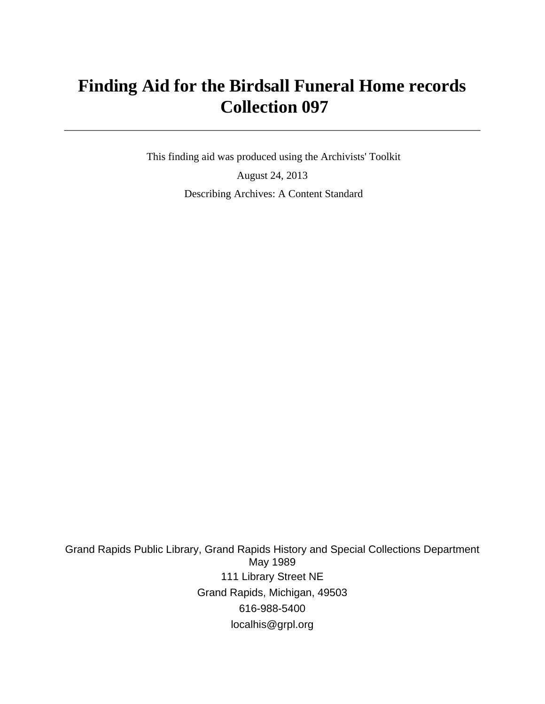# **Finding Aid for the Birdsall Funeral Home records Collection 097**

 This finding aid was produced using the Archivists' Toolkit August 24, 2013 Describing Archives: A Content Standard

Grand Rapids Public Library, Grand Rapids History and Special Collections Department May 1989 111 Library Street NE Grand Rapids, Michigan, 49503 616-988-5400 localhis@grpl.org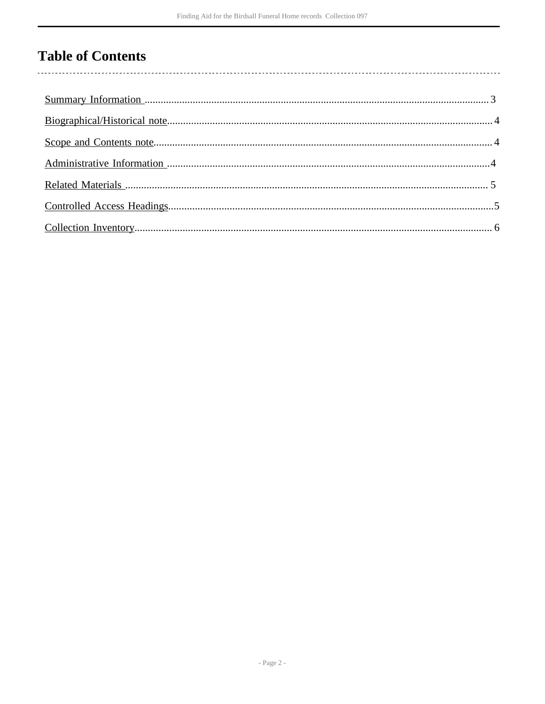## **Table of Contents**

 $\overline{\phantom{a}}$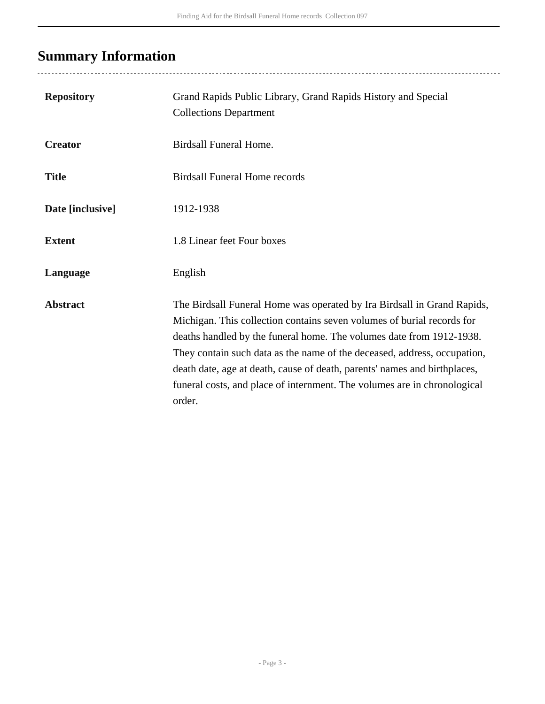## <span id="page-2-0"></span>**Summary Information**

...................................

| <b>Repository</b> | Grand Rapids Public Library, Grand Rapids History and Special<br><b>Collections Department</b>                                                                                                                                                                                                                                                                                                                                                                           |
|-------------------|--------------------------------------------------------------------------------------------------------------------------------------------------------------------------------------------------------------------------------------------------------------------------------------------------------------------------------------------------------------------------------------------------------------------------------------------------------------------------|
| <b>Creator</b>    | Birdsall Funeral Home.                                                                                                                                                                                                                                                                                                                                                                                                                                                   |
| <b>Title</b>      | <b>Birdsall Funeral Home records</b>                                                                                                                                                                                                                                                                                                                                                                                                                                     |
| Date [inclusive]  | 1912-1938                                                                                                                                                                                                                                                                                                                                                                                                                                                                |
| <b>Extent</b>     | 1.8 Linear feet Four boxes                                                                                                                                                                                                                                                                                                                                                                                                                                               |
| Language          | English                                                                                                                                                                                                                                                                                                                                                                                                                                                                  |
| <b>Abstract</b>   | The Birdsall Funeral Home was operated by Ira Birdsall in Grand Rapids,<br>Michigan. This collection contains seven volumes of burial records for<br>deaths handled by the funeral home. The volumes date from 1912-1938.<br>They contain such data as the name of the deceased, address, occupation,<br>death date, age at death, cause of death, parents' names and birthplaces,<br>funeral costs, and place of internment. The volumes are in chronological<br>order. |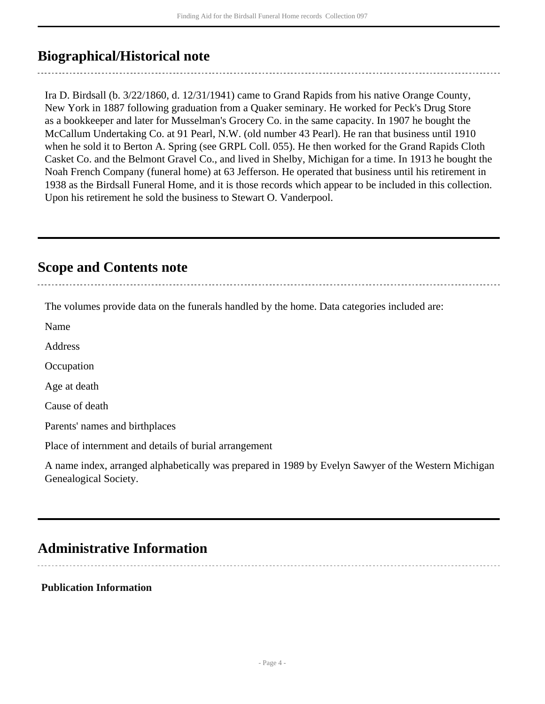### <span id="page-3-0"></span>**Biographical/Historical note**

Ira D. Birdsall (b. 3/22/1860, d. 12/31/1941) came to Grand Rapids from his native Orange County, New York in 1887 following graduation from a Quaker seminary. He worked for Peck's Drug Store as a bookkeeper and later for Musselman's Grocery Co. in the same capacity. In 1907 he bought the McCallum Undertaking Co. at 91 Pearl, N.W. (old number 43 Pearl). He ran that business until 1910 when he sold it to Berton A. Spring (see GRPL Coll. 055). He then worked for the Grand Rapids Cloth Casket Co. and the Belmont Gravel Co., and lived in Shelby, Michigan for a time. In 1913 he bought the Noah French Company (funeral home) at 63 Jefferson. He operated that business until his retirement in 1938 as the Birdsall Funeral Home, and it is those records which appear to be included in this collection. Upon his retirement he sold the business to Stewart O. Vanderpool.

### <span id="page-3-1"></span>**Scope and Contents note**

The volumes provide data on the funerals handled by the home. Data categories included are:

Name

Address

**Occupation** 

Age at death

Cause of death

Parents' names and birthplaces

Place of internment and details of burial arrangement

A name index, arranged alphabetically was prepared in 1989 by Evelyn Sawyer of the Western Michigan Genealogical Society.

### <span id="page-3-2"></span>**Administrative Information**

#### **Publication Information**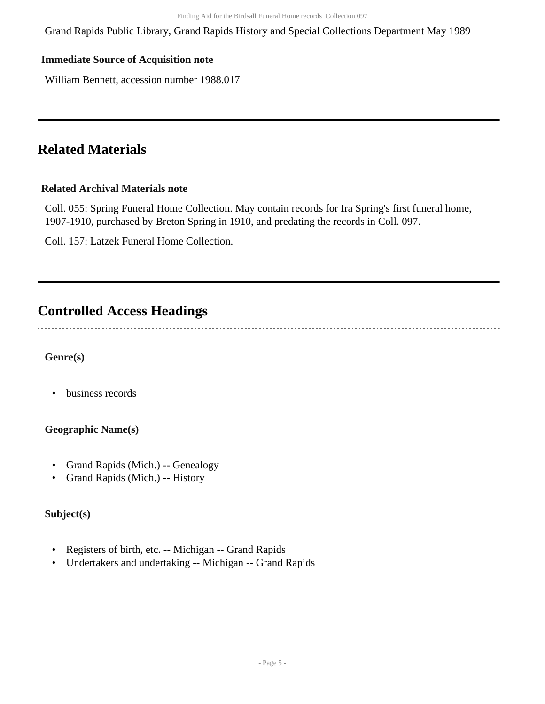Grand Rapids Public Library, Grand Rapids History and Special Collections Department May 1989

### **Immediate Source of Acquisition note**

William Bennett, accession number 1988.017

### <span id="page-4-0"></span>**Related Materials**

#### **Related Archival Materials note**

Coll. 055: Spring Funeral Home Collection. May contain records for Ira Spring's first funeral home, 1907-1910, purchased by Breton Spring in 1910, and predating the records in Coll. 097.

Coll. 157: Latzek Funeral Home Collection.

## <span id="page-4-1"></span>**Controlled Access Headings**

### **Genre(s)**

• business records

### **Geographic Name(s)**

- Grand Rapids (Mich.) -- Genealogy
- Grand Rapids (Mich.) -- History

### **Subject(s)**

- Registers of birth, etc. -- Michigan -- Grand Rapids
- Undertakers and undertaking -- Michigan -- Grand Rapids